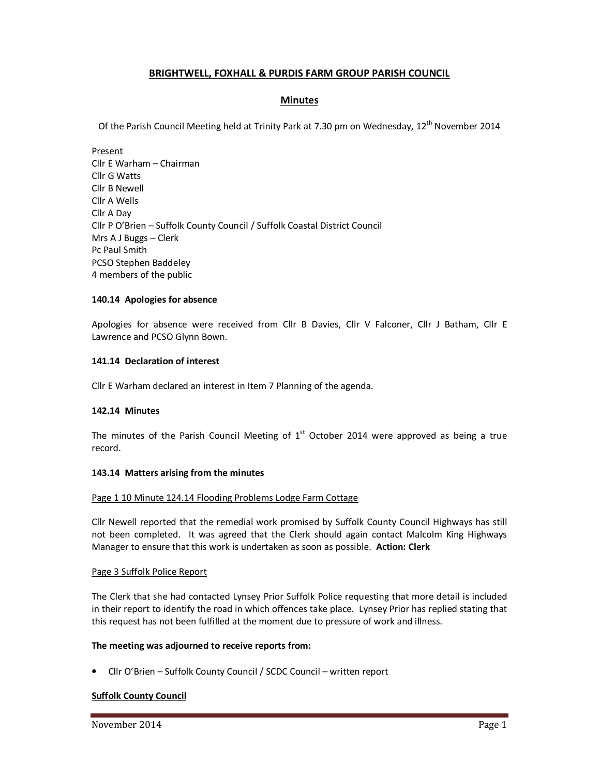# **BRIGHTWELL, FOXHALL & PURDIS FARM GROUP PARISH COUNCIL**

# **Minutes**

Of the Parish Council Meeting held at Trinity Park at 7.30 pm on Wednesday, 12<sup>th</sup> November 2014

Present Cllr E Warham – Chairman Cllr G Watts Cllr B Newell Cllr A Wells Cllr A Day Cllr P O'Brien – Suffolk County Council / Suffolk Coastal District Council Mrs A J Buggs – Clerk Pc Paul Smith PCSO Stephen Baddeley 4 members of the public

## **140.14 Apologies for absence**

Apologies for absence were received from Cllr B Davies, Cllr V Falconer, Cllr J Batham, Cllr E Lawrence and PCSO Glynn Bown.

## **141.14 Declaration of interest**

Cllr E Warham declared an interest in Item 7 Planning of the agenda.

## **142.14 Minutes**

The minutes of the Parish Council Meeting of  $1<sup>st</sup>$  October 2014 were approved as being a true record.

## **143.14 Matters arising from the minutes**

## Page 1 10 Minute 124.14 Flooding Problems Lodge Farm Cottage

Cllr Newell reported that the remedial work promised by Suffolk County Council Highways has still not been completed. It was agreed that the Clerk should again contact Malcolm King Highways Manager to ensure that this work is undertaken as soon as possible. **Action: Clerk** 

## Page 3 Suffolk Police Report

The Clerk that she had contacted Lynsey Prior Suffolk Police requesting that more detail is included in their report to identify the road in which offences take place. Lynsey Prior has replied stating that this request has not been fulfilled at the moment due to pressure of work and illness.

# **The meeting was adjourned to receive reports from:**

• Cllr O'Brien – Suffolk County Council / SCDC Council – written report

# **Suffolk County Council**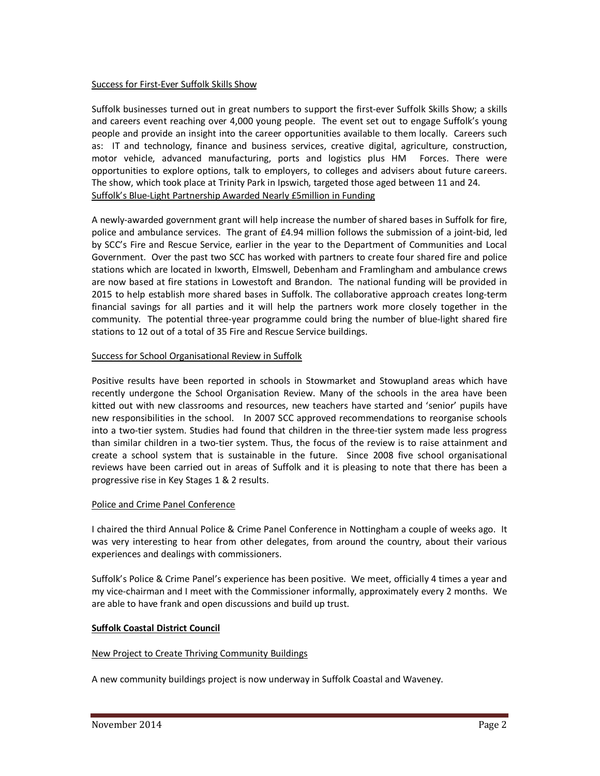## Success for First-Ever Suffolk Skills Show

Suffolk businesses turned out in great numbers to support the first-ever Suffolk Skills Show; a skills and careers event reaching over 4,000 young people. The event set out to engage Suffolk's young people and provide an insight into the career opportunities available to them locally. Careers such as: IT and technology, finance and business services, creative digital, agriculture, construction, motor vehicle, advanced manufacturing, ports and logistics plus HM Forces. There were opportunities to explore options, talk to employers, to colleges and advisers about future careers. The show, which took place at Trinity Park in Ipswich, targeted those aged between 11 and 24. Suffolk's Blue-Light Partnership Awarded Nearly £5million in Funding

A newly-awarded government grant will help increase the number of shared bases in Suffolk for fire, police and ambulance services. The grant of £4.94 million follows the submission of a joint-bid, led by SCC's Fire and Rescue Service, earlier in the year to the Department of Communities and Local Government. Over the past two SCC has worked with partners to create four shared fire and police stations which are located in Ixworth, Elmswell, Debenham and Framlingham and ambulance crews are now based at fire stations in Lowestoft and Brandon. The national funding will be provided in 2015 to help establish more shared bases in Suffolk. The collaborative approach creates long-term financial savings for all parties and it will help the partners work more closely together in the community. The potential three-year programme could bring the number of blue-light shared fire stations to 12 out of a total of 35 Fire and Rescue Service buildings.

# Success for School Organisational Review in Suffolk

Positive results have been reported in schools in Stowmarket and Stowupland areas which have recently undergone the School Organisation Review. Many of the schools in the area have been kitted out with new classrooms and resources, new teachers have started and 'senior' pupils have new responsibilities in the school. In 2007 SCC approved recommendations to reorganise schools into a two-tier system. Studies had found that children in the three-tier system made less progress than similar children in a two-tier system. Thus, the focus of the review is to raise attainment and create a school system that is sustainable in the future. Since 2008 five school organisational reviews have been carried out in areas of Suffolk and it is pleasing to note that there has been a progressive rise in Key Stages 1 & 2 results.

# Police and Crime Panel Conference

I chaired the third Annual Police & Crime Panel Conference in Nottingham a couple of weeks ago. It was very interesting to hear from other delegates, from around the country, about their various experiences and dealings with commissioners.

Suffolk's Police & Crime Panel's experience has been positive. We meet, officially 4 times a year and my vice-chairman and I meet with the Commissioner informally, approximately every 2 months. We are able to have frank and open discussions and build up trust.

# **Suffolk Coastal District Council**

## New Project to Create Thriving Community Buildings

A new community buildings project is now underway in Suffolk Coastal and Waveney.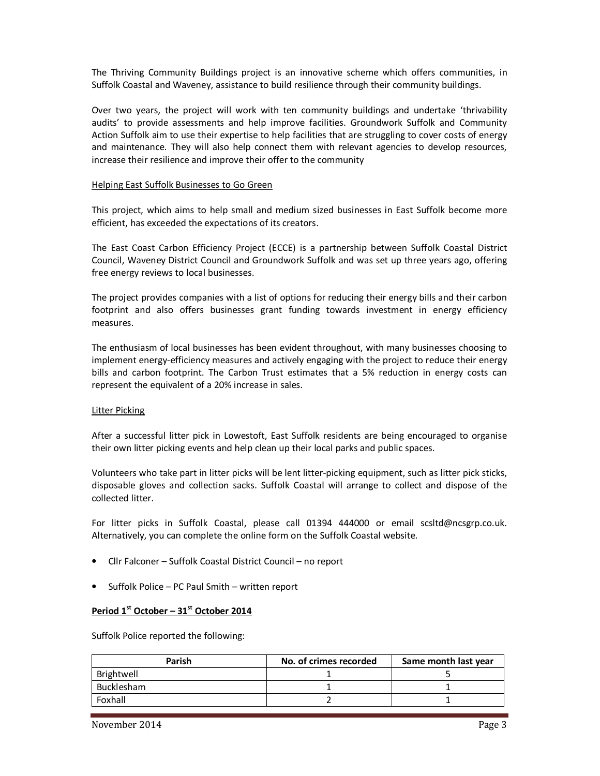The Thriving Community Buildings project is an innovative scheme which offers communities, in Suffolk Coastal and Waveney, assistance to build resilience through their community buildings.

Over two years, the project will work with ten community buildings and undertake 'thrivability audits' to provide assessments and help improve facilities. Groundwork Suffolk and Community Action Suffolk aim to use their expertise to help facilities that are struggling to cover costs of energy and maintenance. They will also help connect them with relevant agencies to develop resources, increase their resilience and improve their offer to the community

#### Helping East Suffolk Businesses to Go Green

This project, which aims to help small and medium sized businesses in East Suffolk become more efficient, has exceeded the expectations of its creators.

The East Coast Carbon Efficiency Project (ECCE) is a partnership between Suffolk Coastal District Council, Waveney District Council and Groundwork Suffolk and was set up three years ago, offering free energy reviews to local businesses.

The project provides companies with a list of options for reducing their energy bills and their carbon footprint and also offers businesses grant funding towards investment in energy efficiency measures.

The enthusiasm of local businesses has been evident throughout, with many businesses choosing to implement energy-efficiency measures and actively engaging with the project to reduce their energy bills and carbon footprint. The Carbon Trust estimates that a 5% reduction in energy costs can represent the equivalent of a 20% increase in sales.

## Litter Picking

After a successful litter pick in Lowestoft, East Suffolk residents are being encouraged to organise their own litter picking events and help clean up their local parks and public spaces.

Volunteers who take part in litter picks will be lent litter-picking equipment, such as litter pick sticks, disposable gloves and collection sacks. Suffolk Coastal will arrange to collect and dispose of the collected litter.

For litter picks in Suffolk Coastal, please call 01394 444000 or email scsltd@ncsgrp.co.uk. Alternatively, you can complete the online form on the Suffolk Coastal website.

- Cllr Falconer Suffolk Coastal District Council no report
- Suffolk Police PC Paul Smith written report

## **Period 1st October – 31st October 2014**

Suffolk Police reported the following:

| Parish     | No. of crimes recorded | Same month last year |
|------------|------------------------|----------------------|
| Brightwell |                        |                      |
| Bucklesham |                        |                      |
| Foxhall    |                        |                      |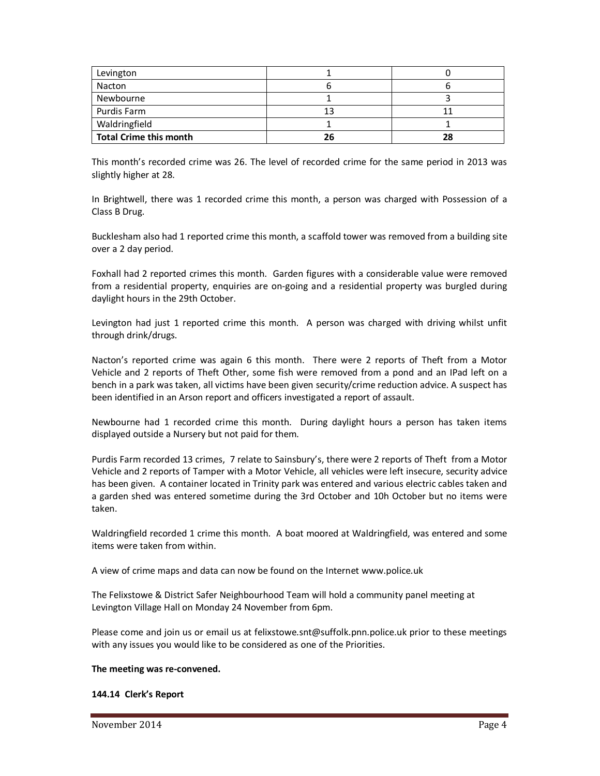| Levington                     |    |    |
|-------------------------------|----|----|
| Nacton                        |    |    |
| Newbourne                     |    |    |
| Purdis Farm                   | 13 |    |
| Waldringfield                 |    |    |
| <b>Total Crime this month</b> | 26 | 28 |

This month's recorded crime was 26. The level of recorded crime for the same period in 2013 was slightly higher at 28.

In Brightwell, there was 1 recorded crime this month, a person was charged with Possession of a Class B Drug.

Bucklesham also had 1 reported crime this month, a scaffold tower was removed from a building site over a 2 day period.

Foxhall had 2 reported crimes this month. Garden figures with a considerable value were removed from a residential property, enquiries are on-going and a residential property was burgled during daylight hours in the 29th October.

Levington had just 1 reported crime this month. A person was charged with driving whilst unfit through drink/drugs.

Nacton's reported crime was again 6 this month. There were 2 reports of Theft from a Motor Vehicle and 2 reports of Theft Other, some fish were removed from a pond and an IPad left on a bench in a park was taken, all victims have been given security/crime reduction advice. A suspect has been identified in an Arson report and officers investigated a report of assault.

Newbourne had 1 recorded crime this month. During daylight hours a person has taken items displayed outside a Nursery but not paid for them.

Purdis Farm recorded 13 crimes, 7 relate to Sainsbury's, there were 2 reports of Theft from a Motor Vehicle and 2 reports of Tamper with a Motor Vehicle, all vehicles were left insecure, security advice has been given. A container located in Trinity park was entered and various electric cables taken and a garden shed was entered sometime during the 3rd October and 10h October but no items were taken.

Waldringfield recorded 1 crime this month. A boat moored at Waldringfield, was entered and some items were taken from within.

A view of crime maps and data can now be found on the Internet www.police.uk

The Felixstowe & District Safer Neighbourhood Team will hold a community panel meeting at Levington Village Hall on Monday 24 November from 6pm.

Please come and join us or email us at felixstowe.snt@suffolk.pnn.police.uk prior to these meetings with any issues you would like to be considered as one of the Priorities.

## **The meeting was re-convened.**

## **144.14 Clerk's Report**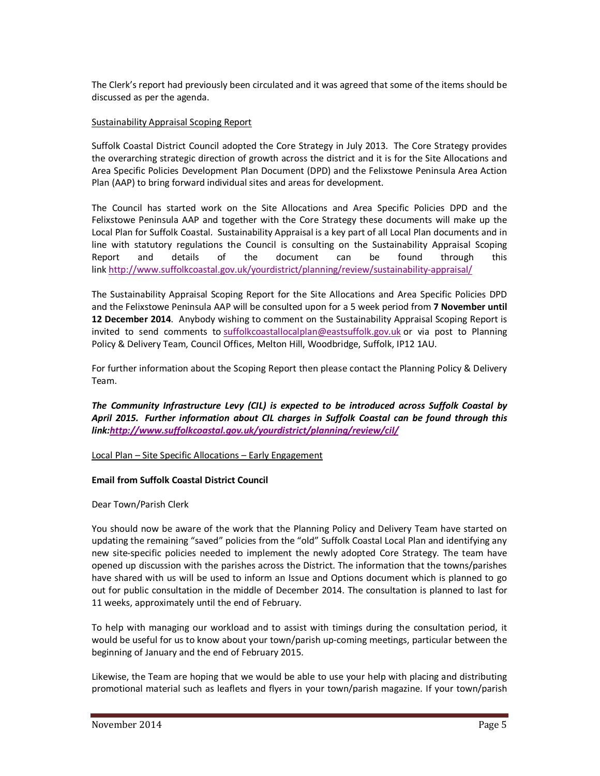The Clerk's report had previously been circulated and it was agreed that some of the items should be discussed as per the agenda.

## Sustainability Appraisal Scoping Report

Suffolk Coastal District Council adopted the Core Strategy in July 2013. The Core Strategy provides the overarching strategic direction of growth across the district and it is for the Site Allocations and Area Specific Policies Development Plan Document (DPD) and the Felixstowe Peninsula Area Action Plan (AAP) to bring forward individual sites and areas for development.

The Council has started work on the Site Allocations and Area Specific Policies DPD and the Felixstowe Peninsula AAP and together with the Core Strategy these documents will make up the Local Plan for Suffolk Coastal. Sustainability Appraisal is a key part of all Local Plan documents and in line with statutory regulations the Council is consulting on the Sustainability Appraisal Scoping Report and details of the document can be found through this link http://www.suffolkcoastal.gov.uk/yourdistrict/planning/review/sustainability-appraisal/

The Sustainability Appraisal Scoping Report for the Site Allocations and Area Specific Policies DPD and the Felixstowe Peninsula AAP will be consulted upon for a 5 week period from **7 November until 12 December 2014**. Anybody wishing to comment on the Sustainability Appraisal Scoping Report is invited to send comments to suffolkcoastallocalplan@eastsuffolk.gov.uk or via post to Planning Policy & Delivery Team, Council Offices, Melton Hill, Woodbridge, Suffolk, IP12 1AU.

For further information about the Scoping Report then please contact the Planning Policy & Delivery Team.

*The Community Infrastructure Levy (CIL) is expected to be introduced across Suffolk Coastal by April 2015. Further information about CIL charges in Suffolk Coastal can be found through this link:http://www.suffolkcoastal.gov.uk/yourdistrict/planning/review/cil/*

Local Plan – Site Specific Allocations – Early Engagement

# **Email from Suffolk Coastal District Council**

Dear Town/Parish Clerk

You should now be aware of the work that the Planning Policy and Delivery Team have started on updating the remaining "saved" policies from the "old" Suffolk Coastal Local Plan and identifying any new site-specific policies needed to implement the newly adopted Core Strategy. The team have opened up discussion with the parishes across the District. The information that the towns/parishes have shared with us will be used to inform an Issue and Options document which is planned to go out for public consultation in the middle of December 2014. The consultation is planned to last for 11 weeks, approximately until the end of February.

To help with managing our workload and to assist with timings during the consultation period, it would be useful for us to know about your town/parish up-coming meetings, particular between the beginning of January and the end of February 2015.

Likewise, the Team are hoping that we would be able to use your help with placing and distributing promotional material such as leaflets and flyers in your town/parish magazine. If your town/parish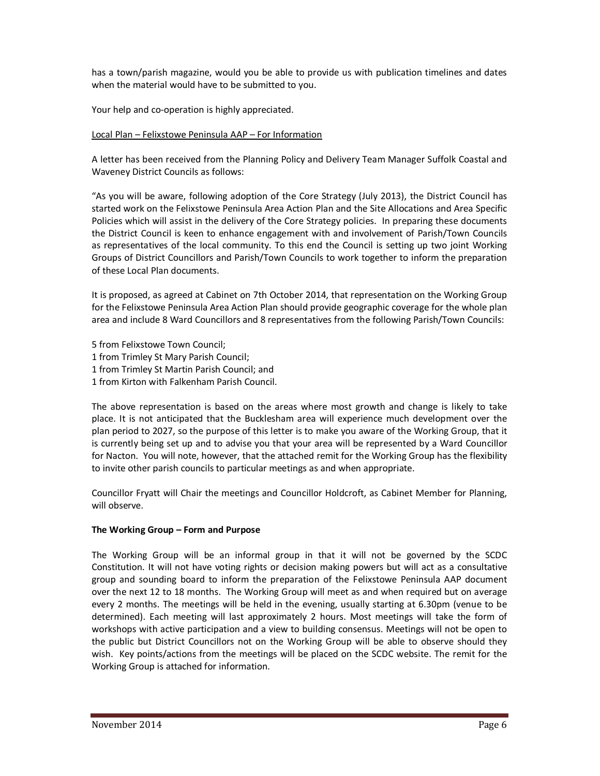has a town/parish magazine, would you be able to provide us with publication timelines and dates when the material would have to be submitted to you.

Your help and co-operation is highly appreciated.

## Local Plan – Felixstowe Peninsula AAP – For Information

A letter has been received from the Planning Policy and Delivery Team Manager Suffolk Coastal and Waveney District Councils as follows:

"As you will be aware, following adoption of the Core Strategy (July 2013), the District Council has started work on the Felixstowe Peninsula Area Action Plan and the Site Allocations and Area Specific Policies which will assist in the delivery of the Core Strategy policies. In preparing these documents the District Council is keen to enhance engagement with and involvement of Parish/Town Councils as representatives of the local community. To this end the Council is setting up two joint Working Groups of District Councillors and Parish/Town Councils to work together to inform the preparation of these Local Plan documents.

It is proposed, as agreed at Cabinet on 7th October 2014, that representation on the Working Group for the Felixstowe Peninsula Area Action Plan should provide geographic coverage for the whole plan area and include 8 Ward Councillors and 8 representatives from the following Parish/Town Councils:

- 5 from Felixstowe Town Council;
- 1 from Trimley St Mary Parish Council;
- 1 from Trimley St Martin Parish Council; and
- 1 from Kirton with Falkenham Parish Council.

The above representation is based on the areas where most growth and change is likely to take place. It is not anticipated that the Bucklesham area will experience much development over the plan period to 2027, so the purpose of this letter is to make you aware of the Working Group, that it is currently being set up and to advise you that your area will be represented by a Ward Councillor for Nacton. You will note, however, that the attached remit for the Working Group has the flexibility to invite other parish councils to particular meetings as and when appropriate.

Councillor Fryatt will Chair the meetings and Councillor Holdcroft, as Cabinet Member for Planning, will observe.

## **The Working Group – Form and Purpose**

The Working Group will be an informal group in that it will not be governed by the SCDC Constitution. It will not have voting rights or decision making powers but will act as a consultative group and sounding board to inform the preparation of the Felixstowe Peninsula AAP document over the next 12 to 18 months. The Working Group will meet as and when required but on average every 2 months. The meetings will be held in the evening, usually starting at 6.30pm (venue to be determined). Each meeting will last approximately 2 hours. Most meetings will take the form of workshops with active participation and a view to building consensus. Meetings will not be open to the public but District Councillors not on the Working Group will be able to observe should they wish. Key points/actions from the meetings will be placed on the SCDC website. The remit for the Working Group is attached for information.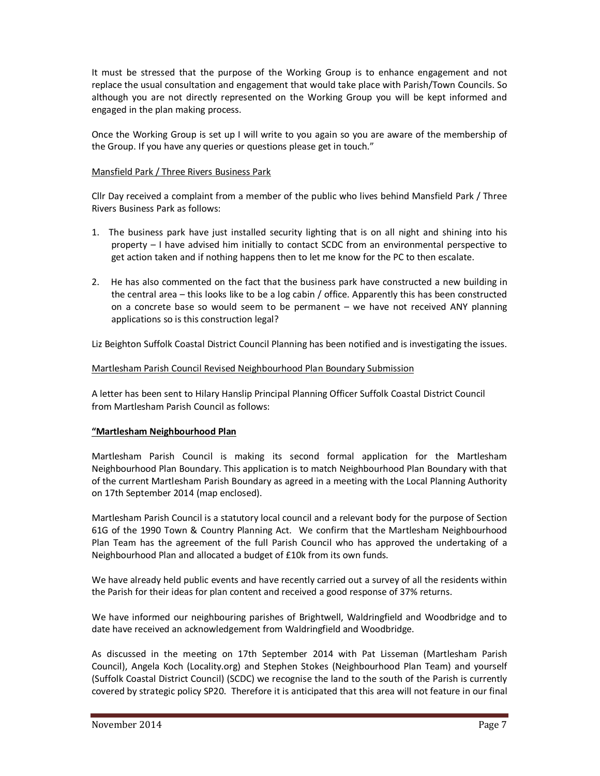It must be stressed that the purpose of the Working Group is to enhance engagement and not replace the usual consultation and engagement that would take place with Parish/Town Councils. So although you are not directly represented on the Working Group you will be kept informed and engaged in the plan making process.

Once the Working Group is set up I will write to you again so you are aware of the membership of the Group. If you have any queries or questions please get in touch."

## Mansfield Park / Three Rivers Business Park

Cllr Day received a complaint from a member of the public who lives behind Mansfield Park / Three Rivers Business Park as follows:

- 1. The business park have just installed security lighting that is on all night and shining into his property – I have advised him initially to contact SCDC from an environmental perspective to get action taken and if nothing happens then to let me know for the PC to then escalate.
- 2. He has also commented on the fact that the business park have constructed a new building in the central area – this looks like to be a log cabin / office. Apparently this has been constructed on a concrete base so would seem to be permanent – we have not received ANY planning applications so is this construction legal?

Liz Beighton Suffolk Coastal District Council Planning has been notified and is investigating the issues.

## Martlesham Parish Council Revised Neighbourhood Plan Boundary Submission

A letter has been sent to Hilary Hanslip Principal Planning Officer Suffolk Coastal District Council from Martlesham Parish Council as follows:

## **"Martlesham Neighbourhood Plan**

Martlesham Parish Council is making its second formal application for the Martlesham Neighbourhood Plan Boundary. This application is to match Neighbourhood Plan Boundary with that of the current Martlesham Parish Boundary as agreed in a meeting with the Local Planning Authority on 17th September 2014 (map enclosed).

Martlesham Parish Council is a statutory local council and a relevant body for the purpose of Section 61G of the 1990 Town & Country Planning Act. We confirm that the Martlesham Neighbourhood Plan Team has the agreement of the full Parish Council who has approved the undertaking of a Neighbourhood Plan and allocated a budget of £10k from its own funds.

We have already held public events and have recently carried out a survey of all the residents within the Parish for their ideas for plan content and received a good response of 37% returns.

We have informed our neighbouring parishes of Brightwell, Waldringfield and Woodbridge and to date have received an acknowledgement from Waldringfield and Woodbridge.

As discussed in the meeting on 17th September 2014 with Pat Lisseman (Martlesham Parish Council), Angela Koch (Locality.org) and Stephen Stokes (Neighbourhood Plan Team) and yourself (Suffolk Coastal District Council) (SCDC) we recognise the land to the south of the Parish is currently covered by strategic policy SP20. Therefore it is anticipated that this area will not feature in our final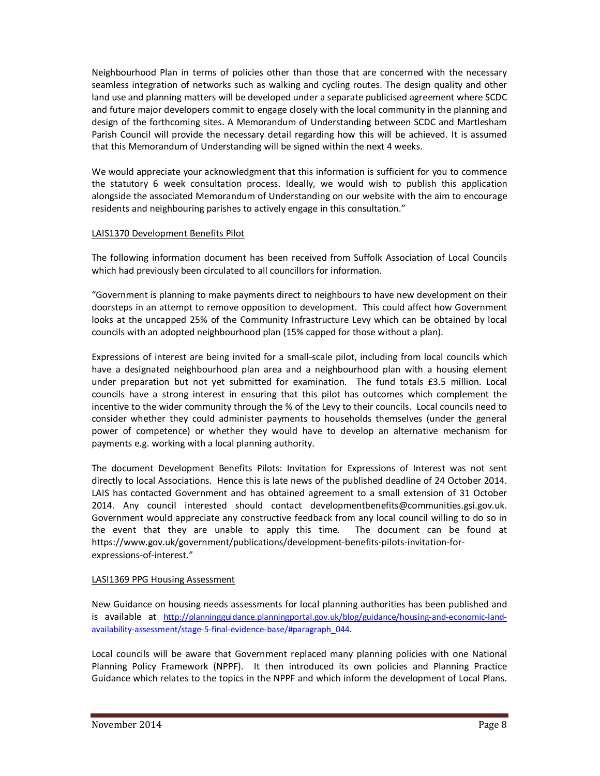Neighbourhood Plan in terms of policies other than those that are concerned with the necessary seamless integration of networks such as walking and cycling routes. The design quality and other land use and planning matters will be developed under a separate publicised agreement where SCDC and future major developers commit to engage closely with the local community in the planning and design of the forthcoming sites. A Memorandum of Understanding between SCDC and Martlesham Parish Council will provide the necessary detail regarding how this will be achieved. It is assumed that this Memorandum of Understanding will be signed within the next 4 weeks.

We would appreciate your acknowledgment that this information is sufficient for you to commence the statutory 6 week consultation process. Ideally, we would wish to publish this application alongside the associated Memorandum of Understanding on our website with the aim to encourage residents and neighbouring parishes to actively engage in this consultation."

## LAIS1370 Development Benefits Pilot

The following information document has been received from Suffolk Association of Local Councils which had previously been circulated to all councillors for information.

"Government is planning to make payments direct to neighbours to have new development on their doorsteps in an attempt to remove opposition to development. This could affect how Government looks at the uncapped 25% of the Community Infrastructure Levy which can be obtained by local councils with an adopted neighbourhood plan (15% capped for those without a plan).

Expressions of interest are being invited for a small-scale pilot, including from local councils which have a designated neighbourhood plan area and a neighbourhood plan with a housing element under preparation but not yet submitted for examination. The fund totals £3.5 million. Local councils have a strong interest in ensuring that this pilot has outcomes which complement the incentive to the wider community through the % of the Levy to their councils. Local councils need to consider whether they could administer payments to households themselves (under the general power of competence) or whether they would have to develop an alternative mechanism for payments e.g. working with a local planning authority.

The document Development Benefits Pilots: Invitation for Expressions of Interest was not sent directly to local Associations. Hence this is late news of the published deadline of 24 October 2014. LAIS has contacted Government and has obtained agreement to a small extension of 31 October 2014. Any council interested should contact developmentbenefits@communities.gsi.gov.uk. Government would appreciate any constructive feedback from any local council willing to do so in the event that they are unable to apply this time. The document can be found at https://www.gov.uk/government/publications/development-benefits-pilots-invitation-forexpressions-of-interest."

# LASI1369 PPG Housing Assessment

New Guidance on housing needs assessments for local planning authorities has been published and is available at http://planningguidance.planningportal.gov.uk/blog/guidance/housing-and-economic-landavailability-assessment/stage-5-final-evidence-base/#paragraph\_044.

Local councils will be aware that Government replaced many planning policies with one National Planning Policy Framework (NPPF). It then introduced its own policies and Planning Practice Guidance which relates to the topics in the NPPF and which inform the development of Local Plans.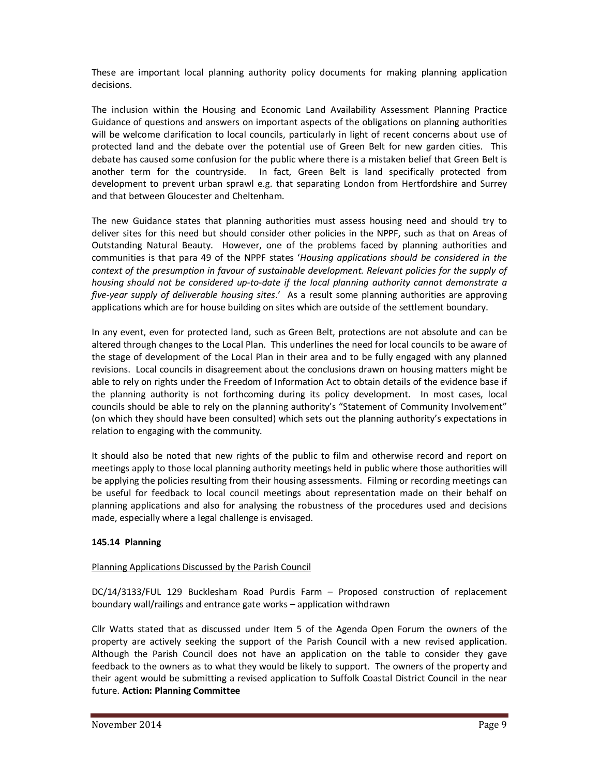These are important local planning authority policy documents for making planning application decisions.

The inclusion within the Housing and Economic Land Availability Assessment Planning Practice Guidance of questions and answers on important aspects of the obligations on planning authorities will be welcome clarification to local councils, particularly in light of recent concerns about use of protected land and the debate over the potential use of Green Belt for new garden cities. This debate has caused some confusion for the public where there is a mistaken belief that Green Belt is another term for the countryside. In fact, Green Belt is land specifically protected from development to prevent urban sprawl e.g. that separating London from Hertfordshire and Surrey and that between Gloucester and Cheltenham.

The new Guidance states that planning authorities must assess housing need and should try to deliver sites for this need but should consider other policies in the NPPF, such as that on Areas of Outstanding Natural Beauty. However, one of the problems faced by planning authorities and communities is that para 49 of the NPPF states '*Housing applications should be considered in the context of the presumption in favour of sustainable development. Relevant policies for the supply of housing should not be considered up-to-date if the local planning authority cannot demonstrate a five-year supply of deliverable housing sites*.' As a result some planning authorities are approving applications which are for house building on sites which are outside of the settlement boundary.

In any event, even for protected land, such as Green Belt, protections are not absolute and can be altered through changes to the Local Plan. This underlines the need for local councils to be aware of the stage of development of the Local Plan in their area and to be fully engaged with any planned revisions. Local councils in disagreement about the conclusions drawn on housing matters might be able to rely on rights under the Freedom of Information Act to obtain details of the evidence base if the planning authority is not forthcoming during its policy development. In most cases, local councils should be able to rely on the planning authority's "Statement of Community Involvement" (on which they should have been consulted) which sets out the planning authority's expectations in relation to engaging with the community.

It should also be noted that new rights of the public to film and otherwise record and report on meetings apply to those local planning authority meetings held in public where those authorities will be applying the policies resulting from their housing assessments. Filming or recording meetings can be useful for feedback to local council meetings about representation made on their behalf on planning applications and also for analysing the robustness of the procedures used and decisions made, especially where a legal challenge is envisaged.

# **145.14 Planning**

# Planning Applications Discussed by the Parish Council

DC/14/3133/FUL 129 Bucklesham Road Purdis Farm – Proposed construction of replacement boundary wall/railings and entrance gate works – application withdrawn

Cllr Watts stated that as discussed under Item 5 of the Agenda Open Forum the owners of the property are actively seeking the support of the Parish Council with a new revised application. Although the Parish Council does not have an application on the table to consider they gave feedback to the owners as to what they would be likely to support. The owners of the property and their agent would be submitting a revised application to Suffolk Coastal District Council in the near future. **Action: Planning Committee**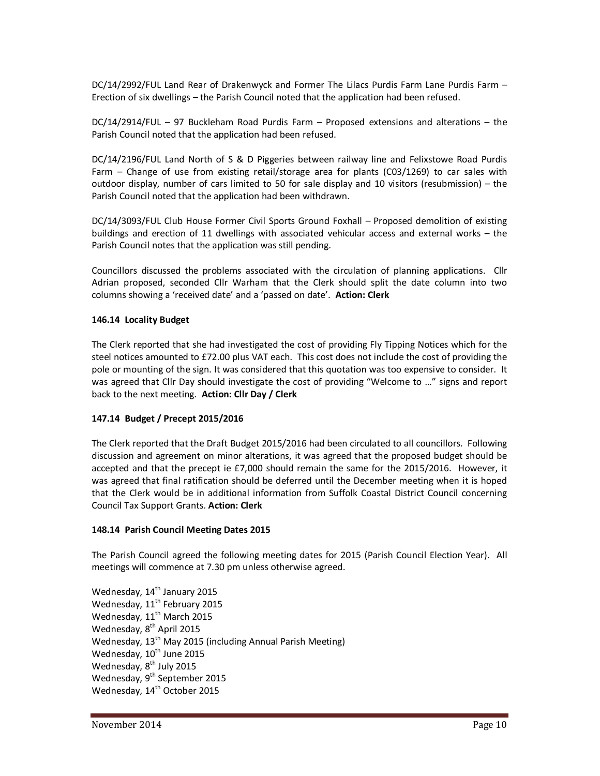DC/14/2992/FUL Land Rear of Drakenwyck and Former The Lilacs Purdis Farm Lane Purdis Farm – Erection of six dwellings – the Parish Council noted that the application had been refused.

DC/14/2914/FUL – 97 Buckleham Road Purdis Farm – Proposed extensions and alterations – the Parish Council noted that the application had been refused.

DC/14/2196/FUL Land North of S & D Piggeries between railway line and Felixstowe Road Purdis Farm – Change of use from existing retail/storage area for plants (C03/1269) to car sales with outdoor display, number of cars limited to 50 for sale display and 10 visitors (resubmission) – the Parish Council noted that the application had been withdrawn.

DC/14/3093/FUL Club House Former Civil Sports Ground Foxhall – Proposed demolition of existing buildings and erection of 11 dwellings with associated vehicular access and external works – the Parish Council notes that the application was still pending.

Councillors discussed the problems associated with the circulation of planning applications. Cllr Adrian proposed, seconded Cllr Warham that the Clerk should split the date column into two columns showing a 'received date' and a 'passed on date'. **Action: Clerk** 

## **146.14 Locality Budget**

The Clerk reported that she had investigated the cost of providing Fly Tipping Notices which for the steel notices amounted to £72.00 plus VAT each. This cost does not include the cost of providing the pole or mounting of the sign. It was considered that this quotation was too expensive to consider. It was agreed that Cllr Day should investigate the cost of providing "Welcome to …" signs and report back to the next meeting. **Action: Cllr Day / Clerk**

## **147.14 Budget / Precept 2015/2016**

The Clerk reported that the Draft Budget 2015/2016 had been circulated to all councillors. Following discussion and agreement on minor alterations, it was agreed that the proposed budget should be accepted and that the precept ie £7,000 should remain the same for the 2015/2016. However, it was agreed that final ratification should be deferred until the December meeting when it is hoped that the Clerk would be in additional information from Suffolk Coastal District Council concerning Council Tax Support Grants. **Action: Clerk** 

## **148.14 Parish Council Meeting Dates 2015**

The Parish Council agreed the following meeting dates for 2015 (Parish Council Election Year). All meetings will commence at 7.30 pm unless otherwise agreed.

Wednesday, 14<sup>th</sup> January 2015 Wednesday, 11<sup>th</sup> February 2015 Wednesday, 11<sup>th</sup> March 2015 Wednesday, 8<sup>th</sup> April 2015 Wednesday, 13<sup>th</sup> May 2015 (including Annual Parish Meeting) Wednesday,  $10^{th}$  June 2015 Wednesday, 8<sup>th</sup> July 2015 Wednesday, 9<sup>th</sup> September 2015 Wednesday, 14<sup>th</sup> October 2015